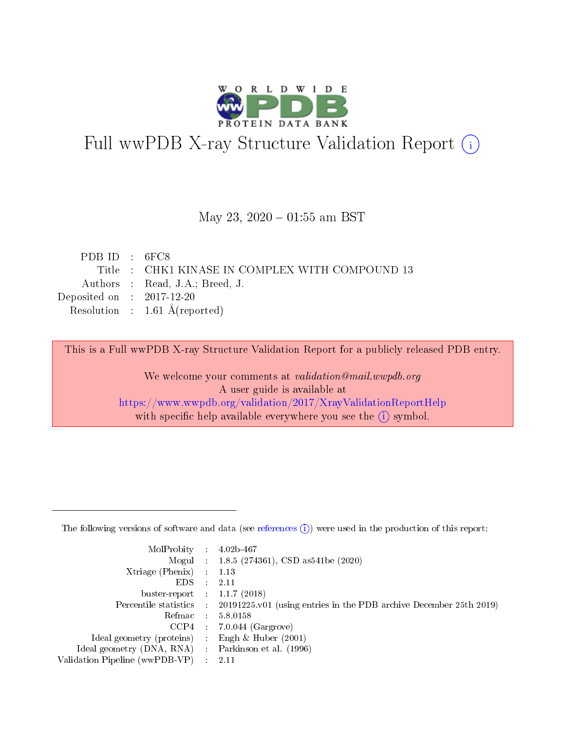

# Full wwPDB X-ray Structure Validation Report (i)

#### May 23,  $2020 - 01:55$  am BST

| PDB ID : $6FC8$                                 |
|-------------------------------------------------|
| Title : CHK1 KINASE IN COMPLEX WITH COMPOUND 13 |
| Authors : Read, J.A.; Breed, J.                 |
| Deposited on : $2017-12-20$                     |
| Resolution : $1.61 \text{ Å}$ (reported)        |
|                                                 |

This is a Full wwPDB X-ray Structure Validation Report for a publicly released PDB entry.

We welcome your comments at validation@mail.wwpdb.org A user guide is available at <https://www.wwpdb.org/validation/2017/XrayValidationReportHelp> with specific help available everywhere you see the  $(i)$  symbol.

The following versions of software and data (see [references](https://www.wwpdb.org/validation/2017/XrayValidationReportHelp#references)  $(1)$ ) were used in the production of this report:

| $MolProbability$ 4.02b-467                          |               |                                                                                            |
|-----------------------------------------------------|---------------|--------------------------------------------------------------------------------------------|
|                                                     |               | Mogul : 1.8.5 (274361), CSD as 541be (2020)                                                |
| $Xtriangle (Phenix)$ : 1.13                         |               |                                                                                            |
| EDS -                                               | $\mathcal{L}$ | 2.11                                                                                       |
| buster-report : $1.1.7(2018)$                       |               |                                                                                            |
|                                                     |               | Percentile statistics : 20191225.v01 (using entries in the PDB archive December 25th 2019) |
| Refmac $5.8.0158$                                   |               |                                                                                            |
|                                                     |               | $CCP4$ : 7.0.044 (Gargrove)                                                                |
| Ideal geometry (proteins) :                         |               | Engh $\&$ Huber (2001)                                                                     |
| Ideal geometry (DNA, RNA) : Parkinson et al. (1996) |               |                                                                                            |
| Validation Pipeline (wwPDB-VP) : 2.11               |               |                                                                                            |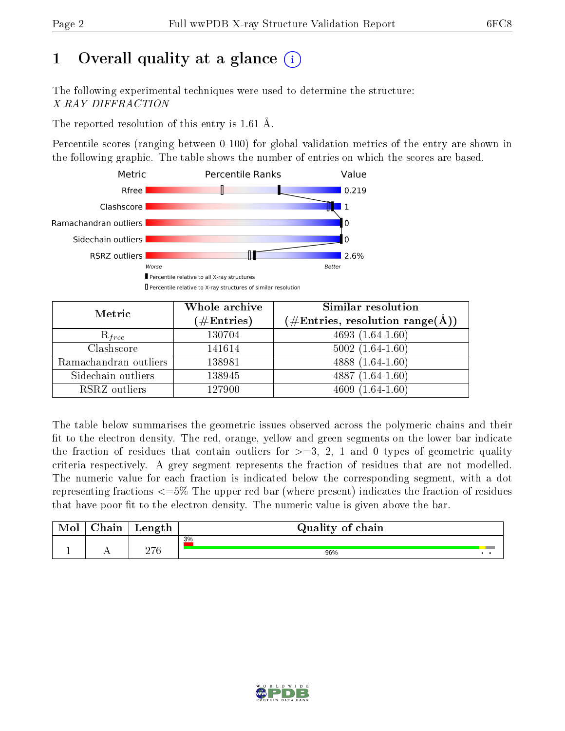# 1 [O](https://www.wwpdb.org/validation/2017/XrayValidationReportHelp#overall_quality)verall quality at a glance  $(i)$

The following experimental techniques were used to determine the structure: X-RAY DIFFRACTION

The reported resolution of this entry is 1.61 Å.

Percentile scores (ranging between 0-100) for global validation metrics of the entry are shown in the following graphic. The table shows the number of entries on which the scores are based.



| Metric                | Whole archive<br>$(\#Entries)$ | Similar resolution<br>$(\#\text{Entries}, \text{resolution range}(\text{\AA}))$ |
|-----------------------|--------------------------------|---------------------------------------------------------------------------------|
| $R_{free}$            | 130704                         | $4693(1.64-1.60)$                                                               |
| Clashscore            | 141614                         | $5002(1.64-1.60)$                                                               |
| Ramachandran outliers | 138981                         | 4888 $(1.64-1.60)$                                                              |
| Sidechain outliers    | 138945                         | $4887(1.64-1.60)$                                                               |
| RSRZ outliers         | 127900                         | $4609(1.64-1.60)$                                                               |

The table below summarises the geometric issues observed across the polymeric chains and their fit to the electron density. The red, orange, yellow and green segments on the lower bar indicate the fraction of residues that contain outliers for  $>=3, 2, 1$  and 0 types of geometric quality criteria respectively. A grey segment represents the fraction of residues that are not modelled. The numeric value for each fraction is indicated below the corresponding segment, with a dot representing fractions <=5% The upper red bar (where present) indicates the fraction of residues that have poor fit to the electron density. The numeric value is given above the bar.

| Mol       | $\sim$<br>hain | Length       | Quality of chain |  |
|-----------|----------------|--------------|------------------|--|
|           |                |              | 3%               |  |
| <u>д.</u> | . .            | מרחה<br>21 U | 96%              |  |

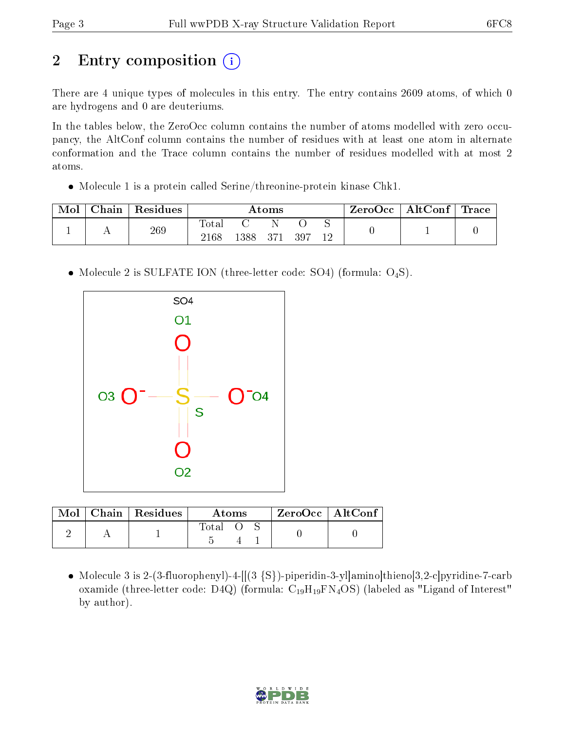# 2 Entry composition  $\left( \cdot \right)$

There are 4 unique types of molecules in this entry. The entry contains 2609 atoms, of which 0 are hydrogens and 0 are deuteriums.

In the tables below, the ZeroOcc column contains the number of atoms modelled with zero occupancy, the AltConf column contains the number of residues with at least one atom in alternate conformation and the Trace column contains the number of residues modelled with at most 2 atoms.

Molecule 1 is a protein called Serine/threonine-protein kinase Chk1.

| Mol | ${\rm Chain}$ | Residues | $\rm{Atoms}$             |     |  |     | $\rm{ZeroOcc} \mid \rm{AltConf} \mid \rm{Trace}$ |  |  |
|-----|---------------|----------|--------------------------|-----|--|-----|--------------------------------------------------|--|--|
|     |               | 269      | $\mathrm{Total}$<br>2168 | 388 |  | 397 |                                                  |  |  |

• Molecule 2 is SULFATE ION (three-letter code: SO4) (formula:  $O_4S$ ).



|  | $Mol$   Chain   Residues | Atoms |  | $ZeroOcc$   AltConf |  |  |
|--|--------------------------|-------|--|---------------------|--|--|
|  |                          | Total |  |                     |  |  |

• Molecule 3 is 2-(3-fluorophenyl)-4- $[[3 \{S\})]$ -piperidin-3-yllamino|thieno $[3,2-c]$ pyridine-7-carb oxamide (three-letter code: D4Q) (formula: C<sub>19</sub>H<sub>19</sub>FN<sub>4</sub>OS) (labeled as "Ligand of Interest" by author).

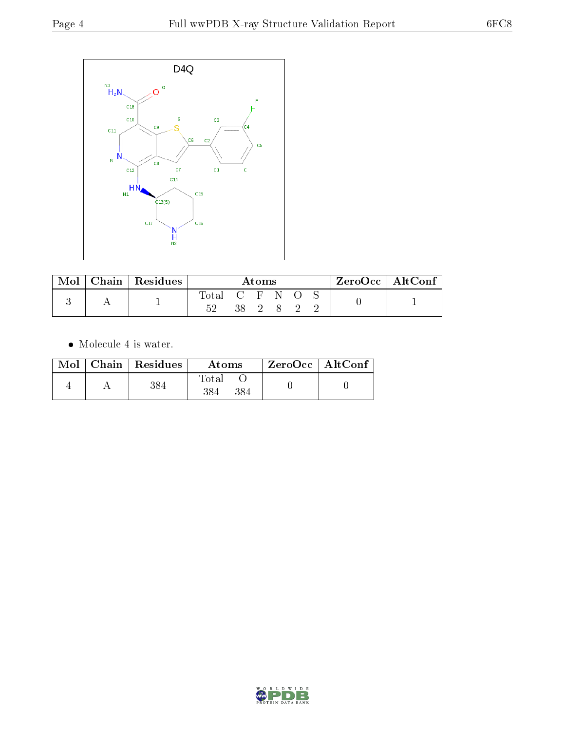

| Mol | $Chain   Residues$ | Atoms       |  |      |  | $\text{ZeroOcc} \mid \text{AltConf} \mid$ |  |  |
|-----|--------------------|-------------|--|------|--|-------------------------------------------|--|--|
|     |                    | $\rm Total$ |  | . н. |  |                                           |  |  |

 $\bullet\,$  Molecule 4 is water.

| Mol | Chain Residues | Atoms | $ZeroOcc \mid AltConf$ |  |
|-----|----------------|-------|------------------------|--|
|     |                | Total |                        |  |

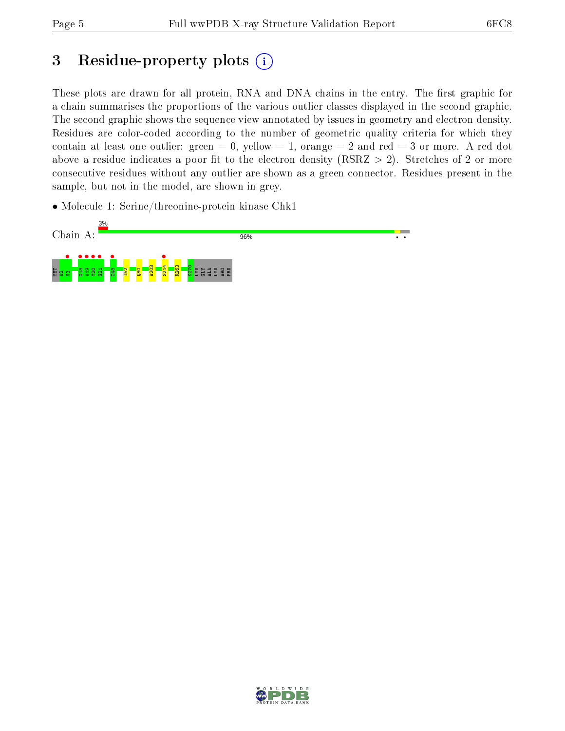# 3 Residue-property plots  $(i)$

These plots are drawn for all protein, RNA and DNA chains in the entry. The first graphic for a chain summarises the proportions of the various outlier classes displayed in the second graphic. The second graphic shows the sequence view annotated by issues in geometry and electron density. Residues are color-coded according to the number of geometric quality criteria for which they contain at least one outlier: green  $= 0$ , yellow  $= 1$ , orange  $= 2$  and red  $= 3$  or more. A red dot above a residue indicates a poor fit to the electron density (RSRZ  $> 2$ ). Stretches of 2 or more consecutive residues without any outlier are shown as a green connector. Residues present in the sample, but not in the model, are shown in grey.

• Molecule 1: Serine/threonine-protein kinase Chk1



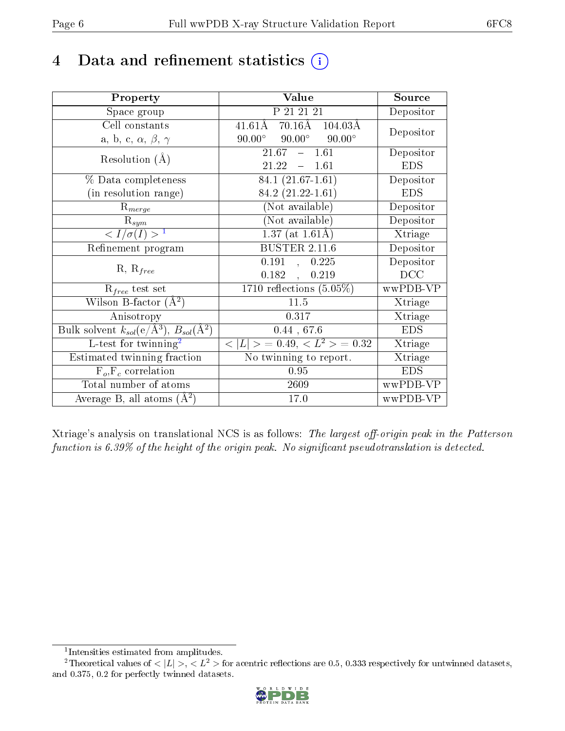## 4 Data and refinement statistics  $(i)$

| Property                                                         | Value                                             | Source     |
|------------------------------------------------------------------|---------------------------------------------------|------------|
| Space group                                                      | P 21 21 21                                        | Depositor  |
| Cell constants                                                   | $41.61\text{\AA}$ 70.16Å 104.03Å                  | Depositor  |
| a, b, c, $\alpha$ , $\beta$ , $\gamma$                           | $90.00^\circ$<br>$90.00^{\circ}$<br>$90.00^\circ$ |            |
| Resolution $(A)$                                                 | $-1.61$<br>21.67                                  | Depositor  |
|                                                                  | 21.22<br>$-1.61$                                  | <b>EDS</b> |
| % Data completeness                                              | $84.1(21.67-1.61)$                                | Depositor  |
| (in resolution range)                                            | 84.2 $(21.22 - 1.61)$                             | <b>EDS</b> |
| $R_{merge}$                                                      | (Not available)                                   | Depositor  |
| $\mathrm{R}_{sym}$                                               | $(Not\ avariable)$                                | Depositor  |
| $\langle I/\sigma(I) \rangle^{-1}$                               | $1.37$ (at 1.61Å)                                 | Xtriage    |
| Refinement program                                               | <b>BUSTER 2.11.6</b>                              | Depositor  |
|                                                                  | $0.191$ , $0.225$                                 | Depositor  |
| $R, R_{free}$                                                    | $0.182$ ,<br>0.219                                | DCC        |
| $R_{free}$ test set                                              | 1710 reflections $(5.05\%)$                       | wwPDB-VP   |
| Wilson B-factor $(A^2)$                                          | 11.5                                              | Xtriage    |
| Anisotropy                                                       | 0.317                                             | Xtriage    |
| Bulk solvent $k_{sol}(\text{e}/\text{A}^3), B_{sol}(\text{A}^2)$ | 0.44, 67.6                                        | <b>EDS</b> |
| L-test for $\mathrm{twinning}^2$                                 | $< L >$ = 0.49, $< L2$ = 0.32                     | Xtriage    |
| Estimated twinning fraction                                      | No twinning to report.                            | Xtriage    |
| $\overline{F_o}, \overline{F_c}$ correlation                     | 0.95                                              | <b>EDS</b> |
| Total number of atoms                                            | 2609                                              | wwPDB-VP   |
| Average B, all atoms $(A^2)$                                     | 17.0                                              | wwPDB-VP   |

Xtriage's analysis on translational NCS is as follows: The largest off-origin peak in the Patterson function is  $6.39\%$  of the height of the origin peak. No significant pseudotranslation is detected.

<sup>&</sup>lt;sup>2</sup>Theoretical values of  $\langle |L| \rangle$ ,  $\langle L^2 \rangle$  for acentric reflections are 0.5, 0.333 respectively for untwinned datasets, and 0.375, 0.2 for perfectly twinned datasets.



<span id="page-5-1"></span><span id="page-5-0"></span><sup>1</sup> Intensities estimated from amplitudes.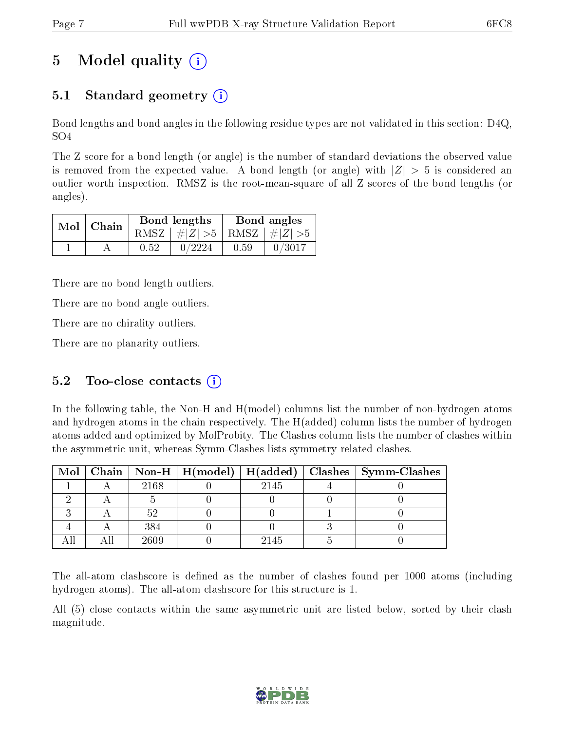## 5 Model quality  $(i)$

### 5.1 Standard geometry  $\overline{()}$

Bond lengths and bond angles in the following residue types are not validated in this section: D4Q, SO4

The Z score for a bond length (or angle) is the number of standard deviations the observed value is removed from the expected value. A bond length (or angle) with  $|Z| > 5$  is considered an outlier worth inspection. RMSZ is the root-mean-square of all Z scores of the bond lengths (or angles).

| $Mol$   Chain |  |      | Bond lengths                    | Bond angles |           |  |
|---------------|--|------|---------------------------------|-------------|-----------|--|
|               |  |      | RMSZ $ #Z  > 5$ RMSZ $ #Z  > 5$ |             |           |  |
|               |  | 0.52 | 0/2224                          | 0.59        | $-0/3017$ |  |

There are no bond length outliers.

There are no bond angle outliers.

There are no chirality outliers.

There are no planarity outliers.

### 5.2 Too-close contacts  $(i)$

In the following table, the Non-H and H(model) columns list the number of non-hydrogen atoms and hydrogen atoms in the chain respectively. The H(added) column lists the number of hydrogen atoms added and optimized by MolProbity. The Clashes column lists the number of clashes within the asymmetric unit, whereas Symm-Clashes lists symmetry related clashes.

|  |      |      | Mol   Chain   Non-H   H(model)   H(added)   Clashes   Symm-Clashes |
|--|------|------|--------------------------------------------------------------------|
|  | 2168 | 2145 |                                                                    |
|  |      |      |                                                                    |
|  |      |      |                                                                    |
|  | 384  |      |                                                                    |
|  | 2609 | 2145 |                                                                    |

The all-atom clashscore is defined as the number of clashes found per 1000 atoms (including hydrogen atoms). The all-atom clashscore for this structure is 1.

All (5) close contacts within the same asymmetric unit are listed below, sorted by their clash magnitude.

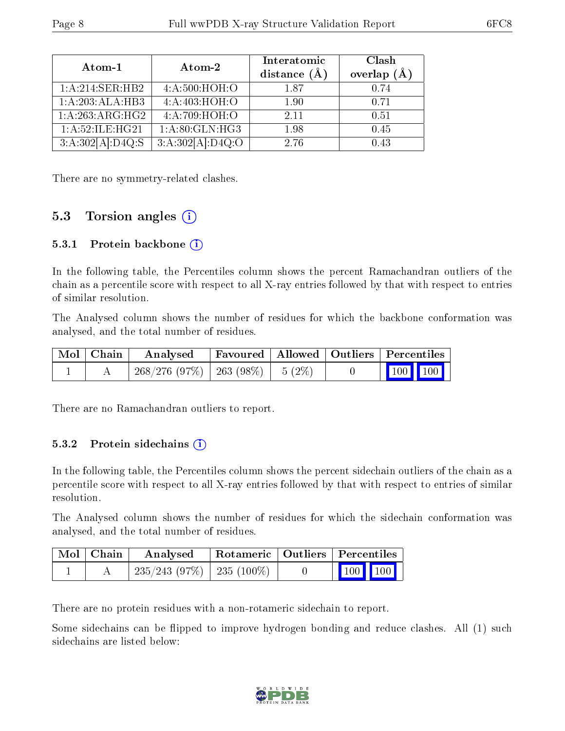| Atom-1           | Atom-2                     | Interatomic<br>distance $(A)$ | Clash<br>overlap $(A)$ |
|------------------|----------------------------|-------------------------------|------------------------|
| 1:A:214:SER:HB2  | 4: A:500:HOH:O             | 187                           | 0.74                   |
| 1:A:203:ALA:HB3  | $4:A:403:\overline{HOH:O}$ | 1.90                          | 0.71                   |
| 1:A:263:ARG:HG2  | 4:A:709:HOH:O              | 2.11                          | 0.51                   |
| 1:A:52:ILE:HG21  | 1: A:80: GLN: HG3          | 1.98                          | 0.45                   |
| 3:A:302[A]:D4Q:S | 3:A:302[A]:D4Q:O           | 2.76                          | 0.43                   |

There are no symmetry-related clashes.

### 5.3 Torsion angles (i)

#### 5.3.1 Protein backbone  $(i)$

In the following table, the Percentiles column shows the percent Ramachandran outliers of the chain as a percentile score with respect to all X-ray entries followed by that with respect to entries of similar resolution.

The Analysed column shows the number of residues for which the backbone conformation was analysed, and the total number of residues.

| Mol   Chain | Analysed                                |  | Favoured   Allowed   Outliers   Percentiles    |  |  |
|-------------|-----------------------------------------|--|------------------------------------------------|--|--|
|             | $268/276$ (97\%)   263 (98\%)   5 (2\%) |  | $\begin{bmatrix} 100 \\ 100 \end{bmatrix}$ 100 |  |  |

There are no Ramachandran outliers to report.

#### 5.3.2 Protein sidechains  $\left( \mathbf{i} \right)$

In the following table, the Percentiles column shows the percent sidechain outliers of the chain as a percentile score with respect to all X-ray entries followed by that with respect to entries of similar resolution.

The Analysed column shows the number of residues for which the sidechain conformation was analysed, and the total number of residues.

| Mol   Chain | Analysed                       |  | Rotameric   Outliers   Percentiles                         |  |
|-------------|--------------------------------|--|------------------------------------------------------------|--|
|             | $235/243$ (97\%)   235 (100\%) |  | $\begin{array}{ c c c c }\n\hline\n100 & 100\n\end{array}$ |  |

There are no protein residues with a non-rotameric sidechain to report.

Some sidechains can be flipped to improve hydrogen bonding and reduce clashes. All (1) such sidechains are listed below:

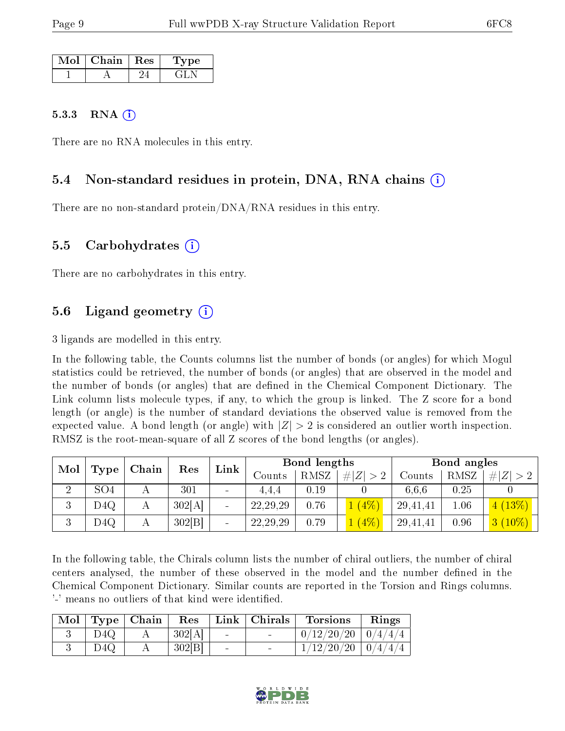| Mol | Chain   Res | vpe |
|-----|-------------|-----|
|     |             |     |

#### 5.3.3 RNA  $(i)$

There are no RNA molecules in this entry.

#### 5.4 Non-standard residues in protein, DNA, RNA chains (i)

There are no non-standard protein/DNA/RNA residues in this entry.

#### 5.5 Carbohydrates (i)

There are no carbohydrates in this entry.

### 5.6 Ligand geometry (i)

3 ligands are modelled in this entry.

In the following table, the Counts columns list the number of bonds (or angles) for which Mogul statistics could be retrieved, the number of bonds (or angles) that are observed in the model and the number of bonds (or angles) that are dened in the Chemical Component Dictionary. The Link column lists molecule types, if any, to which the group is linked. The Z score for a bond length (or angle) is the number of standard deviations the observed value is removed from the expected value. A bond length (or angle) with  $|Z| > 2$  is considered an outlier worth inspection. RMSZ is the root-mean-square of all Z scores of the bond lengths (or angles).

| Mol<br>Type   |                 | Chain | Res    | Link                     | Bond lengths |      |         | Bond angles |      |             |
|---------------|-----------------|-------|--------|--------------------------|--------------|------|---------|-------------|------|-------------|
|               |                 |       |        |                          | Counts       | RMSZ | $\# Z $ | Counts      | RMSZ | # $ Z  > 2$ |
| $\Omega$<br>↵ | SO <sub>4</sub> |       | 301    | $\overline{\phantom{a}}$ | 4.4.4        | 0.19 |         | 6.6.6       | 0.25 |             |
| 3             | D4Q             | Α     | 302[A] |                          | 22, 29, 29   | 0.76 | $(4\%)$ | 29,41,41    | 1.06 | 4(13%)      |
| Ð             | D4Q             | А     | 302 B  |                          | 22, 29, 29   | 0.79 | $(4\%)$ | 29,41,41    | 0.96 | $3(10\%)$   |

In the following table, the Chirals column lists the number of chiral outliers, the number of chiral centers analysed, the number of these observed in the model and the number defined in the Chemical Component Dictionary. Similar counts are reported in the Torsion and Rings columns. '-' means no outliers of that kind were identified.

|     | $\mid$ Mol $\mid$ Type $\mid$ Chain | $\operatorname{Res}$ |                          | Link   Chirals           | <b>Torsions</b>          | Rings |
|-----|-------------------------------------|----------------------|--------------------------|--------------------------|--------------------------|-------|
| D4Q |                                     | 302[A]               |                          | <b>Contract Contract</b> | $0/12/20/20$   $0/4/4/4$ |       |
| D4Q |                                     | 302[B]               | $\overline{\phantom{a}}$ | <b>Contract Contract</b> | $1/12/20/20$   $0/4/4/4$ |       |

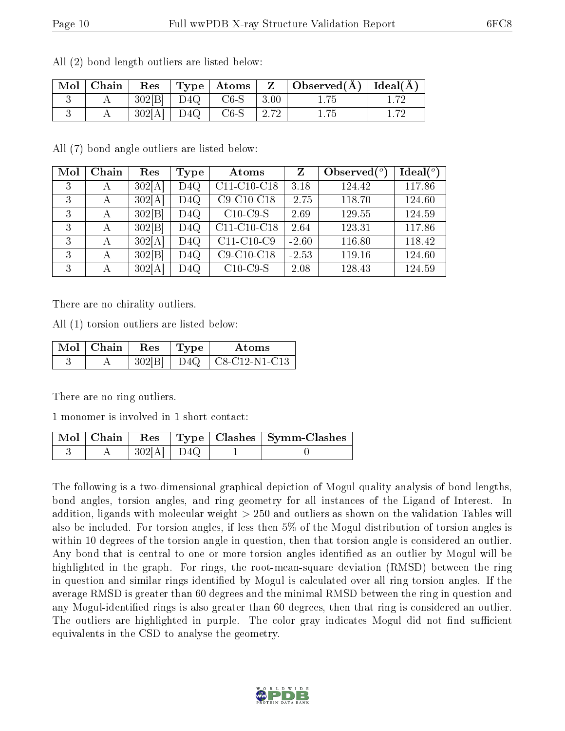| $\mid$ Mol $\mid$ Chain $\mid$ |  |                               | Res   Type   Atoms   Z   Observed $(A)$   Ideal $(A)$ |  |
|--------------------------------|--|-------------------------------|-------------------------------------------------------|--|
|                                |  | $302[B]$ D4Q c6-S 3.00        | 1.75                                                  |  |
|                                |  | $-302[A]$   D4Q   C6-S   2.72 | 1.75                                                  |  |

All (2) bond length outliers are listed below:

All (7) bond angle outliers are listed below:

| Mol | Chain | Res    | Type | Atoms         |         | Observed $(°)$ | Ideal $(°)$ |
|-----|-------|--------|------|---------------|---------|----------------|-------------|
| 3   | А     | 302[A] | D4Q  | $C11-C10-C18$ | 3.18    | 124.42         | 117.86      |
| 3   | А     | 302[A] | D4Q  | $C9-C10-C18$  | $-2.75$ | 118.70         | 124.60      |
| 3   | А     | 302[B] | D4Q  | $C10$ -C9-S   | 2.69    | 129.55         | 124.59      |
| 3   | А     | 302 B  | D4Q  | $C11-C10-C18$ | 2.64    | 123.31         | 117.86      |
| 3   | А     | 302[A] | D4Q  | $C11-C10-C9$  | $-2.60$ | 116.80         | 118.42      |
| 3   | А     | 302[B] | D4Q  | $C9-C10-C18$  | $-2.53$ | 119.16         | 124.60      |
| 3   | А     | 302[A] | D4Q  | $C10-C9-S$    | 2.08    | 128.43         | 124.59      |

There are no chirality outliers.

All (1) torsion outliers are listed below:

| $\mathbf{Mol}$   Chain   Res   Type <sup>+</sup> |        | Atoms                 |
|--------------------------------------------------|--------|-----------------------|
|                                                  | 302[B] | $D4Q$   C8-C12-N1-C13 |

There are no ring outliers.

1 monomer is involved in 1 short contact:

| $\;$ Mol $\mid$ Chain $\mid$ Res $\;$ $\mid$ |              |  | $\vert$ Type $\vert$ Clashes $\vert$ Symm-Clashes |
|----------------------------------------------|--------------|--|---------------------------------------------------|
|                                              | $302[A]$ D4Q |  |                                                   |

The following is a two-dimensional graphical depiction of Mogul quality analysis of bond lengths, bond angles, torsion angles, and ring geometry for all instances of the Ligand of Interest. In addition, ligands with molecular weight > 250 and outliers as shown on the validation Tables will also be included. For torsion angles, if less then 5% of the Mogul distribution of torsion angles is within 10 degrees of the torsion angle in question, then that torsion angle is considered an outlier. Any bond that is central to one or more torsion angles identified as an outlier by Mogul will be highlighted in the graph. For rings, the root-mean-square deviation (RMSD) between the ring in question and similar rings identified by Mogul is calculated over all ring torsion angles. If the average RMSD is greater than 60 degrees and the minimal RMSD between the ring in question and any Mogul-identified rings is also greater than 60 degrees, then that ring is considered an outlier. The outliers are highlighted in purple. The color gray indicates Mogul did not find sufficient equivalents in the CSD to analyse the geometry.

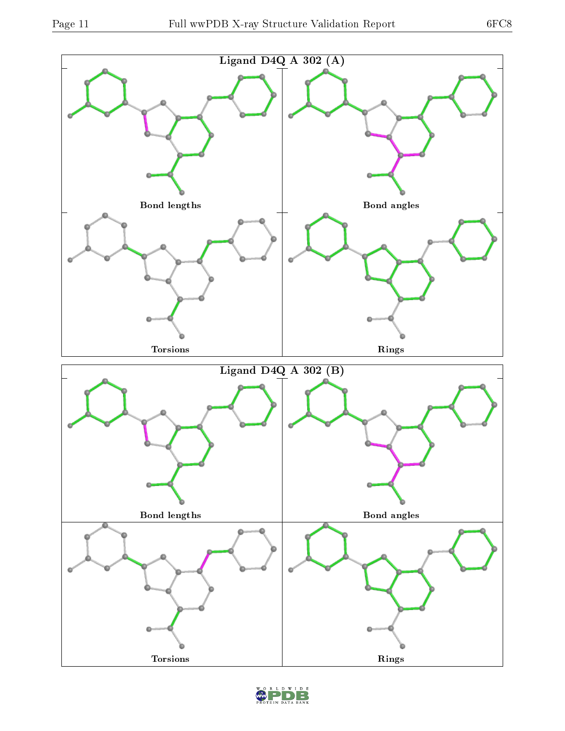

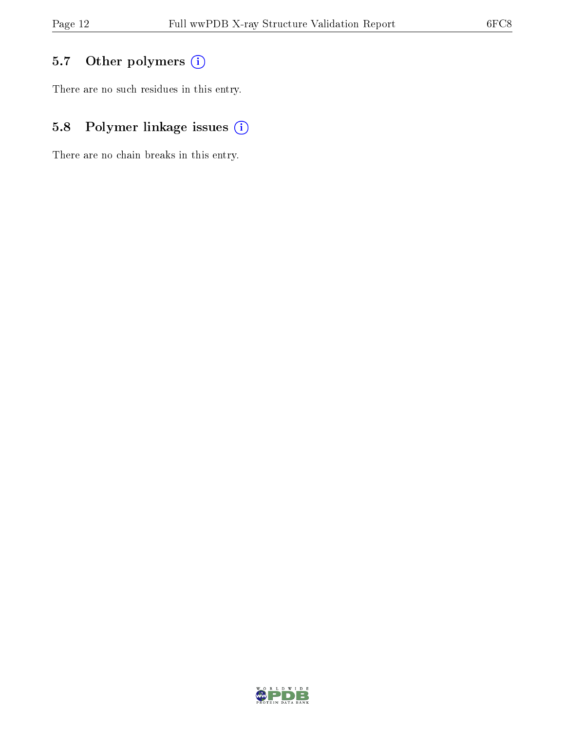### 5.7 [O](https://www.wwpdb.org/validation/2017/XrayValidationReportHelp#nonstandard_residues_and_ligands)ther polymers (i)

There are no such residues in this entry.

### 5.8 Polymer linkage issues (i)

There are no chain breaks in this entry.

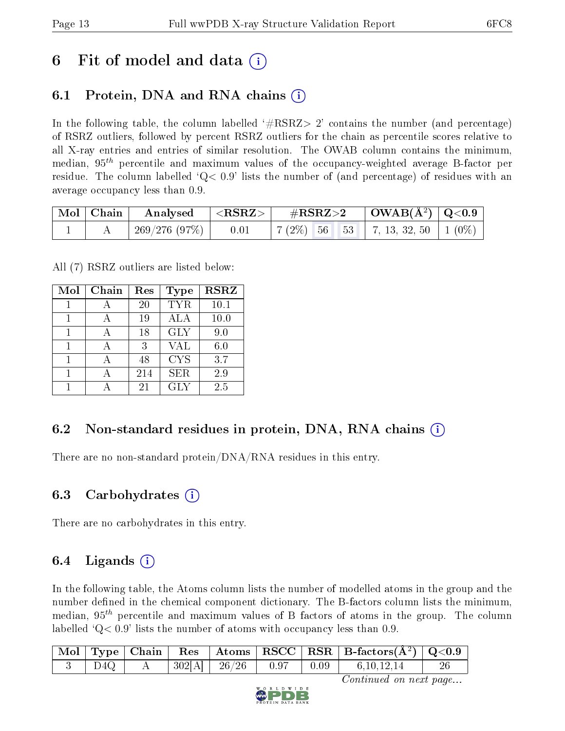## 6 Fit of model and data  $\left( \cdot \right)$

### 6.1 Protein, DNA and RNA chains (i)

In the following table, the column labelled  $#RSRZ>2'$  contains the number (and percentage) of RSRZ outliers, followed by percent RSRZ outliers for the chain as percentile scores relative to all X-ray entries and entries of similar resolution. The OWAB column contains the minimum, median,  $95<sup>th</sup>$  percentile and maximum values of the occupancy-weighted average B-factor per residue. The column labelled  $Q< 0.9$  lists the number of (and percentage) of residues with an average occupancy less than 0.9.

| $\vert$ Mol $\vert$ Chain $\vert$ | $\bf{Analysed}$ $\parallel$ | $  <$ RSRZ $>$ $ $ | $\rm \#RSRZ{>}2$                                                     | $\vert$ OWAB( $\rm \AA^2)$ $\vert$ Q<0.9 $\vert$ |  |
|-----------------------------------|-----------------------------|--------------------|----------------------------------------------------------------------|--------------------------------------------------|--|
|                                   | $\pm 269/276(97\%)$         | 0.01               | $\mid 7 \ (2\%) \ \ 56 \ \ 53 \ \mid 7, 13, 32, 50 \ \mid 1 \ (0\%)$ |                                                  |  |

All (7) RSRZ outliers are listed below:

| Mol | Chain | Res | Type       | <b>RSRZ</b> |
|-----|-------|-----|------------|-------------|
|     |       | 20  | <b>TYR</b> | 10.1        |
| 1   |       | 19  | ALA        | 10.0        |
| 1   |       | 18  | <b>GLY</b> | 9.0         |
| 1   |       | 3   | VAL        | 6.0         |
|     |       | 48  | <b>CYS</b> | 3.7         |
| 1   |       | 214 | <b>SER</b> | 2.9         |
|     |       | 21  | GLY        | 2.5         |

### 6.2 Non-standard residues in protein, DNA, RNA chains  $(i)$

There are no non-standard protein/DNA/RNA residues in this entry.

#### 6.3 Carbohydrates  $(i)$

There are no carbohydrates in this entry.

### 6.4 Ligands  $(i)$

In the following table, the Atoms column lists the number of modelled atoms in the group and the number defined in the chemical component dictionary. The B-factors column lists the minimum, median,  $95<sup>th</sup>$  percentile and maximum values of B factors of atoms in the group. The column labelled  $Q< 0.9$ ' lists the number of atoms with occupancy less than 0.9.

|  |  |                                                  |                                                                | $\mid$ Mol $\mid$ Type $\mid$ Chain $\mid$ Res $\mid$ Atoms $\mid$ RSCC $\mid$ RSR $\mid$ B-factors(A <sup>2</sup> ) $\mid$ Q<0.9 |    |
|--|--|--------------------------------------------------|----------------------------------------------------------------|-----------------------------------------------------------------------------------------------------------------------------------|----|
|  |  | $\mid 302 \mid A \mid \mid 26/26 \mid 0.97 \mid$ | $\begin{array}{ c c c c c } \hline 0.09 \\ \hline \end{array}$ | 6, 10, 12, 14                                                                                                                     | 26 |

Continued on next page...

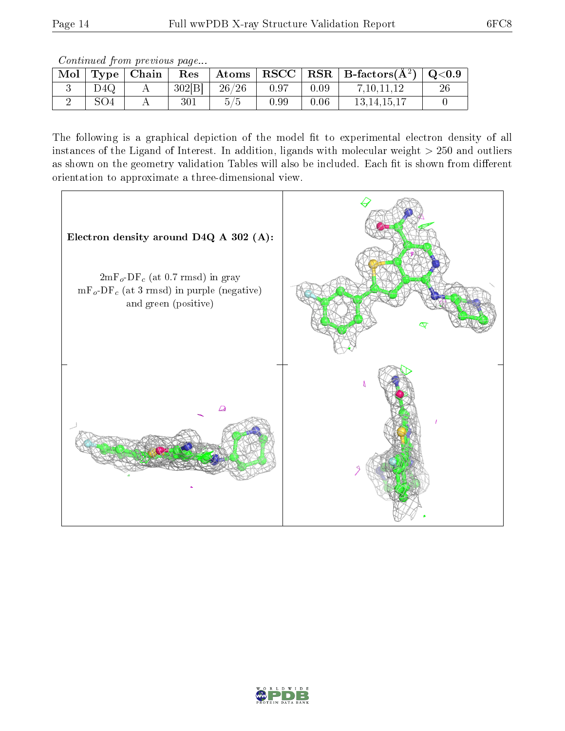Continued from previous page...

| Mol | Type            | Chain | Res    | $\boldsymbol{\mathrm{Atoms}}$ | RSCC |      | $RSR   B-factors(A2)$ | $\rm Q\textcolor{black}{<}0.9$ |
|-----|-----------------|-------|--------|-------------------------------|------|------|-----------------------|--------------------------------|
|     | D4Q             |       | 302[B] | 26/26                         | 0.97 | 0.09 | 7,10,11,12            | 26                             |
|     | SO <sub>4</sub> |       | 301    | 5/5                           | 0.99 | 0.06 | 13, 14, 15, 17        |                                |

The following is a graphical depiction of the model fit to experimental electron density of all instances of the Ligand of Interest. In addition, ligands with molecular weight  $> 250$  and outliers as shown on the geometry validation Tables will also be included. Each fit is shown from different orientation to approximate a three-dimensional view.